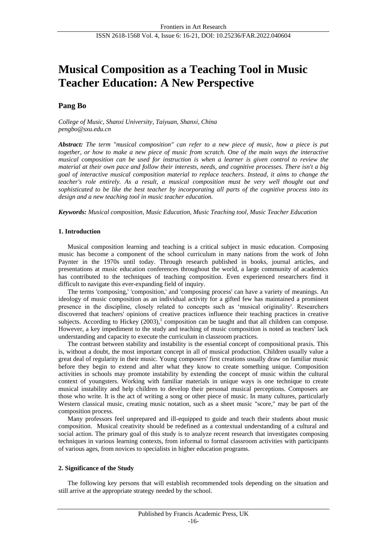# **Musical Composition as a Teaching Tool in Music Teacher Education: A New Perspective**

# **Pang Bo**

*College of Music, Shanxi University, Taiyuan, Shanxi, China pengbo@sxu.edu.cn*

*Abstract: The term "musical composition" can refer to a new piece of music, how a piece is put together, or how to make a new piece of music from scratch. One of the main ways the interactive musical composition can be used for instruction is when a learner is given control to review the material at their own pace and follow their interests, needs, and cognitive processes. There isn't a big goal of interactive musical composition material to replace teachers. Instead, it aims to change the teacher's role entirely. As a result, a musical composition must be very well thought out and sophisticated to be like the best teacher by incorporating all parts of the cognitive process into its design and a new teaching tool in music teacher education.* 

*Keywords: Musical composition, Music Education, Music Teaching tool, Music Teacher Education*

# **1. Introduction**

Musical composition learning and teaching is a critical subject in music education. Composing music has become a component of the school curriculum in many nations from the work of John Paynter in the 1970s until today. Through research published in books, journal articles, and presentations at music education conferences throughout the world, a large community of academics has contributed to the techniques of teaching composition. Even experienced researchers find it difficult to navigate this ever-expanding field of inquiry.

The terms 'composing,' 'composition,' and 'composing process' can have a variety of meanings. An ideology of music composition as an individual activity for a gifted few has maintained a prominent presence in the discipline, closely related to concepts such as 'musical originality'. Researchers discovered that teachers' opinions of creative practices influence their teaching practices in creative subjects. According to Hickey  $(2003)$ ,<sup>1</sup> composition can be taught and that all children can compose. However, a key impediment to the study and teaching of music composition is noted as teachers' lack understanding and capacity to execute the curriculum in classroom practices.

The contrast between stability and instability is the essential concept of compositional praxis. This is, without a doubt, the most important concept in all of musical production. Children usually value a great deal of regularity in their music. Young composers' first creations usually draw on familiar music before they begin to extend and alter what they know to create something unique. Composition activities in schools may promote instability by extending the concept of music within the cultural context of youngsters. Working with familiar materials in unique ways is one technique to create musical instability and help children to develop their personal musical perceptions. Composers are those who write. It is the act of writing a song or other piece of music. In many cultures, particularly Western classical music, creating music notation, such as a sheet music "score," may be part of the composition process.

Many professors feel unprepared and ill-equipped to guide and teach their students about music composition. Musical creativity should be redefined as a contextual understanding of a cultural and social action. The primary goal of this study is to analyze recent research that investigates composing techniques in various learning contexts, from informal to formal classroom activities with participants of various ages, from novices to specialists in higher education programs.

# **2. Significance of the Study**

The following key persons that will establish recommended tools depending on the situation and still arrive at the appropriate strategy needed by the school.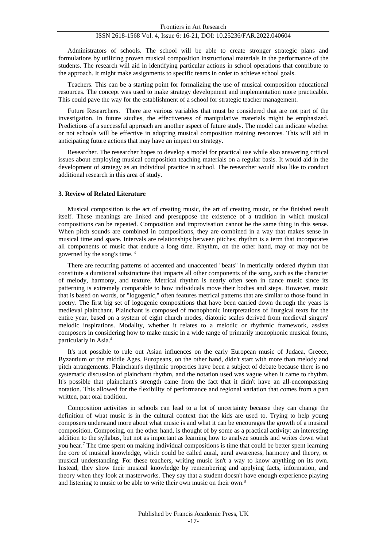Administrators of schools. The school will be able to create stronger strategic plans and formulations by utilizing proven musical composition instructional materials in the performance of the students. The research will aid in identifying particular actions in school operations that contribute to the approach. It might make assignments to specific teams in order to achieve school goals.

Teachers. This can be a starting point for formalizing the use of musical composition educational resources. The concept was used to make strategy development and implementation more practicable. This could pave the way for the establishment of a school for strategic teacher management.

Future Researchers. There are various variables that must be considered that are not part of the investigation. In future studies, the effectiveness of manipulative materials might be emphasized. Predictions of a successful approach are another aspect of future study. The model can indicate whether or not schools will be effective in adopting musical composition training resources. This will aid in anticipating future actions that may have an impact on strategy.

Researcher. The researcher hopes to develop a model for practical use while also answering critical issues about employing musical composition teaching materials on a regular basis. It would aid in the development of strategy as an individual practice in school. The researcher would also like to conduct additional research in this area of study.

#### **3. Review of Related Literature**

Musical composition is the act of creating music, the art of creating music, or the finished result itself. These meanings are linked and presuppose the existence of a tradition in which musical compositions can be repeated. Composition and improvisation cannot be the same thing in this sense. When pitch sounds are combined in compositions, they are combined in a way that makes sense in musical time and space. Intervals are relationships between pitches; rhythm is a term that incorporates all components of music that endure a long time. Rhythm, on the other hand, may or may not be governed by the song's time. <sup>3</sup>

There are recurring patterns of accented and unaccented "beats" in metrically ordered rhythm that constitute a durational substructure that impacts all other components of the song, such as the character of melody, harmony, and texture. Metrical rhythm is nearly often seen in dance music since its patterning is extremely comparable to how individuals move their bodies and steps. However, music that is based on words, or "logogenic," often features metrical patterns that are similar to those found in poetry. The first big set of logogenic compositions that have been carried down through the years is medieval plainchant. Plainchant is composed of monophonic interpretations of liturgical texts for the entire year, based on a system of eight church modes, diatonic scales derived from medieval singers' melodic inspirations. Modality, whether it relates to a melodic or rhythmic framework, assists composers in considering how to make music in a wide range of primarily monophonic musical forms, particularly in Asia.<sup>4</sup>

It's not possible to rule out Asian influences on the early European music of Judaea, Greece, Byzantium or the middle Ages. Europeans, on the other hand, didn't start with more than melody and pitch arrangements. Plainchant's rhythmic properties have been a subject of debate because there is no systematic discussion of plainchant rhythm, and the notation used was vague when it came to rhythm. It's possible that plainchant's strength came from the fact that it didn't have an all-encompassing notation. This allowed for the flexibility of performance and regional variation that comes from a part written, part oral tradition.

Composition activities in schools can lead to a lot of uncertainty because they can change the definition of what music is in the cultural context that the kids are used to. Trying to help young composers understand more about what music is and what it can be encourages the growth of a musical composition. Composing, on the other hand, is thought of by some as a practical activity: an interesting addition to the syllabus, but not as important as learning how to analyze sounds and writes down what you hear.<sup>7</sup> The time spent on making individual compositions is time that could be better spent learning the core of musical knowledge, which could be called aural, aural awareness, harmony and theory, or musical understanding. For these teachers, writing music isn't a way to know anything on its own. Instead, they show their musical knowledge by remembering and applying facts, information, and theory when they look at masterworks. They say that a student doesn't have enough experience playing and listening to music to be able to write their own music on their own.8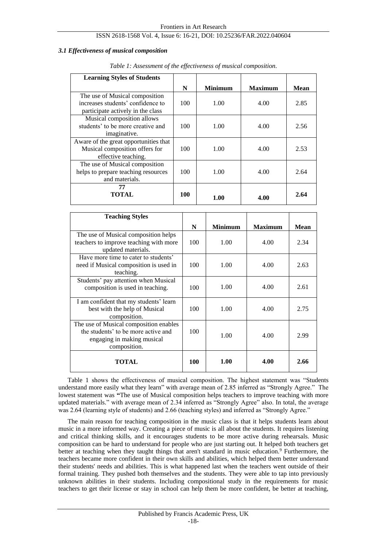#### *3.1 Effectiveness of musical composition*

| <b>Learning Styles of Students</b>    |     |                |                |      |
|---------------------------------------|-----|----------------|----------------|------|
|                                       | N   | <b>Minimum</b> | <b>Maximum</b> | Mean |
| The use of Musical composition        |     |                |                |      |
| increases students' confidence to     | 100 | 1.00           | 4.00           | 2.85 |
| participate actively in the class     |     |                |                |      |
| Musical composition allows            |     |                |                |      |
| students' to be more creative and     | 100 | 1.00           | 4.00           | 2.56 |
| imaginative.                          |     |                |                |      |
| Aware of the great opportunities that |     |                |                |      |
| Musical composition offers for        | 100 | 1.00           | 4.00           | 2.53 |
| effective teaching.                   |     |                |                |      |
| The use of Musical composition        |     |                |                |      |
| helps to prepare teaching resources   | 100 | 1.00           | 4.00           | 2.64 |
| and materials.                        |     |                |                |      |
| 77                                    |     |                |                |      |
| TOTAL                                 | 100 | 1.00           | 4.00           | 2.64 |
|                                       |     |                |                |      |

| Table 1: Assessment of the effectiveness of musical composition. |  |  |
|------------------------------------------------------------------|--|--|
|                                                                  |  |  |

| <b>Teaching Styles</b>                                                                                                      |     |                |                |             |
|-----------------------------------------------------------------------------------------------------------------------------|-----|----------------|----------------|-------------|
|                                                                                                                             | N   | <b>Minimum</b> | <b>Maximum</b> | <b>Mean</b> |
| The use of Musical composition helps<br>teachers to improve teaching with more<br>updated materials.                        | 100 | 1.00           | 4.00           | 2.34        |
| Have more time to cater to students'<br>need if Musical composition is used in<br>teaching.                                 | 100 | 1.00           | 4.00           | 2.63        |
| Students' pay attention when Musical<br>composition is used in teaching.                                                    | 100 | 1.00           | 4.00           | 2.61        |
| I am confident that my students' learn<br>best with the help of Musical<br>composition.                                     | 100 | 1.00           | 4.00           | 2.75        |
| The use of Musical composition enables<br>the students' to be more active and<br>engaging in making musical<br>composition. | 100 | 1.00           | 4.00           | 2.99        |
| <b>TOTAL</b>                                                                                                                | 100 | 1.00           | 4.00           | 2.66        |

Table 1 shows the effectiveness of musical composition. The highest statement was "Students understand more easily what they learn" with average mean of 2.85 inferred as "Strongly Agree." The lowest statement was **"**The use of Musical composition helps teachers to improve teaching with more updated materials." with average mean of 2.34 inferred as "Strongly Agree" also. In total, the average was 2.64 (learning style of students) and 2.66 (teaching styles) and inferred as "Strongly Agree."

The main reason for teaching composition in the music class is that it helps students learn about music in a more informed way. Creating a piece of music is all about the students. It requires listening and critical thinking skills, and it encourages students to be more active during rehearsals. Music composition can be hard to understand for people who are just starting out. It helped both teachers get better at teaching when they taught things that aren't standard in music education.<sup>9</sup> Furthermore, the teachers became more confident in their own skills and abilities, which helped them better understand their students' needs and abilities. This is what happened last when the teachers went outside of their formal training. They pushed both themselves and the students. They were able to tap into previously unknown abilities in their students. Including compositional study in the requirements for music teachers to get their license or stay in school can help them be more confident, be better at teaching,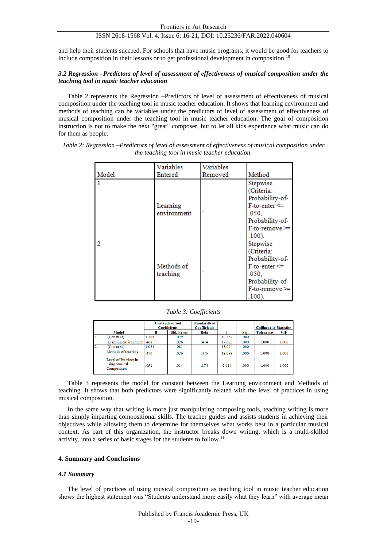and help their students succeed. For schools that have music programs, it would be good for teachers to include composition in their lessons or to get professional development in composition.<sup>10</sup>

### *3.2 Regression –Predictors of level of assessment of effectiveness of musical composition under the teaching tool in music teacher education*

Table 2 represents the Regression –Predictors of level of assessment of effectiveness of musical composition under the teaching tool in music teacher education. It shows that learning environment and methods of teaching can be variables under the predictors of level of assessment of effectiveness of musical composition under the teaching tool in music teacher education. The goal of composition instruction is not to make the next "great" composer, but to let all kids experience what music can do for them as people.

| Model | Variables<br>Entered    | Variables<br>Removed | Method                                                                                                                                    |
|-------|-------------------------|----------------------|-------------------------------------------------------------------------------------------------------------------------------------------|
|       | Learning<br>environment |                      | Stepwise<br>(Criteria:<br>Probability-of-<br>$F$ -to-enter $\Leftarrow$<br>.050.<br>Probability-of-<br>$F$ -to-remove $\succeq$<br>.100). |
| 2     | Methods of<br>teaching  |                      | Stepwise<br>(Criteria:<br>Probability-of-<br>$F$ -to-enter $\Leftarrow$<br>.050.<br>Probability-of-<br>$F$ -to-remove $\simeq$<br>.100).  |

*Table 2: Regression –Predictors of level of assessment of effectiveness of musical composition under the teaching tool in music teacher education.*

#### *Table 3: Coefficients*

|               |                                                       | <b>Unstandardized</b><br><b>Coefficients</b> |                   | <b>Standardized</b><br><b>Coefficients</b> |        | <b>Collinearity Statistics</b> |                  |       |
|---------------|-------------------------------------------------------|----------------------------------------------|-------------------|--------------------------------------------|--------|--------------------------------|------------------|-------|
|               | Model                                                 | B                                            | <b>Std. Error</b> | <b>Beta</b>                                |        | Sig.                           | <b>Tolerance</b> | VIF   |
|               | (Constant)                                            | 1.206                                        | .079              |                                            | 15.337 | .000                           |                  |       |
|               | Learning environment                                  | .468                                         | .026              | .474                                       | 17.683 | .000                           | 1.000            | 1.000 |
| $\mathcal{L}$ | (Constant)                                            | 1.051                                        | .081              |                                            | 13.044 | .000                           |                  |       |
|               | Methods of teaching                                   | .470                                         | .026              | .476                                       | 18.099 | .000                           | 1.000            | 1.000 |
|               | Level of Practices in<br>using Musical<br>Composition | .091                                         | .014              | .174                                       | 6.614  | .000                           | 1.000            | 1.000 |

Table 3 represents the model for constant between the Learning environment and Methods of teaching. It shows that both predictors were significantly related with the level of practices in using musical composition.

In the same way that writing is more just manipulating composing tools, teaching writing is more than simply imparting compositional skills. The teacher guides and assists students in achieving their objectives while allowing them to determine for themselves what works best in a particular musical context. As part of this organization, the instructor breaks down writing, which is a multi-skilled activity, into a series of basic stages for the students to follow.<sup>11</sup>

# **4. Summary and Conclusions**

#### *4.1 Summary*

The level of practices of using musical composition as teaching tool in music teacher education shows the highest statement was "Students understand more easily what they learn" with average mean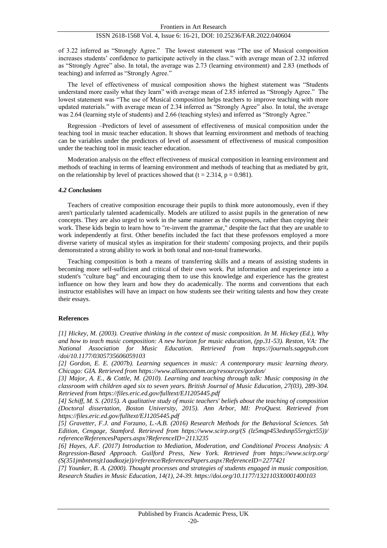of 3.22 inferred as "Strongly Agree." The lowest statement was "The use of Musical composition increases students' confidence to participate actively in the class." with average mean of 2.32 inferred as "Strongly Agree" also. In total, the average was 2.73 (learning environment) and 2.83 (methods of teaching) and inferred as "Strongly Agree."

The level of effectiveness of musical composition shows the highest statement was "Students understand more easily what they learn" with average mean of 2.85 inferred as "Strongly Agree." The lowest statement was "The use of Musical composition helps teachers to improve teaching with more updated materials." with average mean of 2.34 inferred as "Strongly Agree" also. In total, the average was 2.64 (learning style of students) and 2.66 (teaching styles) and inferred as "Strongly Agree."

Regression –Predictors of level of assessment of effectiveness of musical composition under the teaching tool in music teacher education. It shows that learning environment and methods of teaching can be variables under the predictors of level of assessment of effectiveness of musical composition under the teaching tool in music teacher education.

Moderation analysis on the effect effectiveness of musical composition in learning environment and methods of teaching in terms of learning environment and methods of teaching that as mediated by grit, on the relationship by level of practices showed that  $(t = 2.314, p = 0.981)$ .

#### *4.2 Conclusions*

Teachers of creative composition encourage their pupils to think more autonomously, even if they aren't particularly talented academically. Models are utilized to assist pupils in the generation of new concepts. They are also urged to work in the same manner as the composers, rather than copying their work. These kids begin to learn how to "re-invent the grammar," despite the fact that they are unable to work independently at first. Other benefits included the fact that these professors employed a more diverse variety of musical styles as inspiration for their students' composing projects, and their pupils demonstrated a strong ability to work in both tonal and non-tonal frameworks.

Teaching composition is both a means of transferring skills and a means of assisting students in becoming more self-sufficient and critical of their own work. Put information and experience into a student's "culture bag" and encouraging them to use this knowledge and experience has the greatest influence on how they learn and how they do academically. The norms and conventions that each instructor establishes will have an impact on how students see their writing talents and how they create their essays.

# **References**

*[1] Hickey, M. (2003). Creative thinking in the context of music composition. In M. Hickey (Ed.), Why and how to teach music composition: A new horizon for music education, (pp.31-53). Reston, VA: The National Association for Music Education. Retrieved from https://journals.sagepub.com /doi/10.1177/0305735606059103*

*[2] Gordon, E. E. (2007b). Learning sequences in music: A contemporary music learning theory. Chicago: GIA. Retrieved from https://www.allianceamm.org/resources/gordon/*

*[3] Major, A. E., & Cottle, M. (2010). Learning and teaching through talk: Music composing in the classroom with children aged six to seven years. British Journal of Music Education, 27(03), 289-304. Retrieved from https://files.eric.ed.gov/fulltext/EJ1205445.pdf*

*[4] Schiff, M. S. (2015). A qualitative study of music teachers' beliefs about the teaching of composition (Doctoral dissertation, Boston University, 2015). Ann Arbor, MI: ProQuest. Retrieved from https://files.eric.ed.gov/fulltext/EJ1205445.pdf*

*[5] Gravetter, F.J. and Forzano, L.-A.B. (2016) Research Methods for the Behavioral Sciences. 5th Edition, Cengage, Stamford. Retrieved from https://www.scirp.org/(S (lz5mqp453edsnp55rrgjct55))/ reference/ReferencesPapers.aspx?ReferenceID=2113235*

*[6] Hayes, A.F. (2017) Introduction to Mediation, Moderation, and Conditional Process Analysis: A Regression-Based Approach. Guilford Press, New York. Retrieved from https://www.scirp.org/ (S(351jmbntvnsjt1aadkozje))/reference/ReferencesPapers.aspx?ReferenceID=2277421*

*[7] Younker, B. A. (2000). Thought processes and strategies of students engaged in music composition. Research Studies in Music Education, 14(1), 24-39. https://doi.org/10.1177/1321103X0001400103*